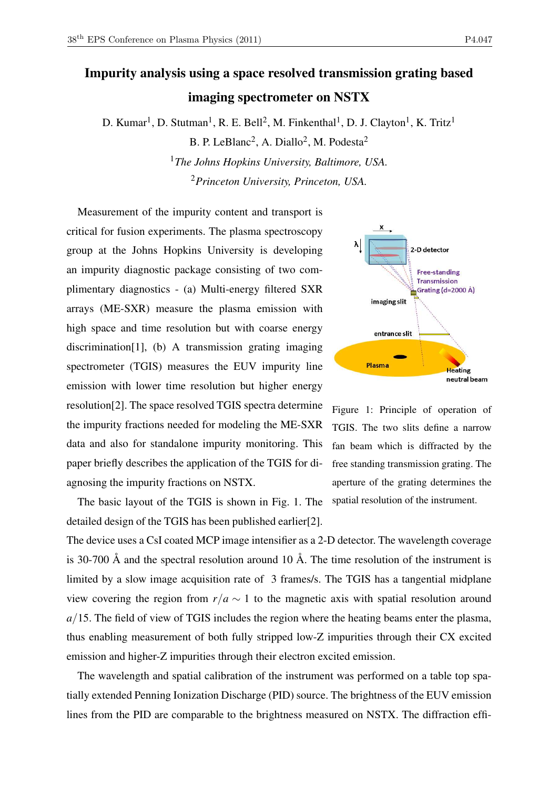## Impurity analysis using a space resolved transmission grating based imaging spectrometer on NSTX

D. Kumar<sup>1</sup>, D. Stutman<sup>1</sup>, R. E. Bell<sup>2</sup>, M. Finkenthal<sup>1</sup>, D. J. Clayton<sup>1</sup>, K. Tritz<sup>1</sup>

B. P. LeBlanc<sup>2</sup>, A. Diallo<sup>2</sup>, M. Podesta<sup>2</sup> <sup>1</sup>*The Johns Hopkins University, Baltimore, USA.* <sup>2</sup>*Princeton University, Princeton, USA.*

Measurement of the impurity content and transport is critical for fusion experiments. The plasma spectroscopy group at the Johns Hopkins University is developing an impurity diagnostic package consisting of two complimentary diagnostics - (a) Multi-energy filtered SXR arrays (ME-SXR) measure the plasma emission with high space and time resolution but with coarse energy discrimination[1], (b) A transmission grating imaging spectrometer (TGIS) measures the EUV impurity line emission with lower time resolution but higher energy resolution[2]. The space resolved TGIS spectra determine the impurity fractions needed for modeling the ME-SXR data and also for standalone impurity monitoring. This paper briefly describes the application of the TGIS for diagnosing the impurity fractions on NSTX.

The basic layout of the TGIS is shown in Fig. 1. The detailed design of the TGIS has been published earlier[2].





The device uses a CsI coated MCP image intensifier as a 2-D detector. The wavelength coverage is 30-700 Å and the spectral resolution around 10 Å. The time resolution of the instrument is limited by a slow image acquisition rate of 3 frames/s. The TGIS has a tangential midplane view covering the region from  $r/a \sim 1$  to the magnetic axis with spatial resolution around *a*/15. The field of view of TGIS includes the region where the heating beams enter the plasma, thus enabling measurement of both fully stripped low-Z impurities through their CX excited emission and higher-Z impurities through their electron excited emission.

The wavelength and spatial calibration of the instrument was performed on a table top spatially extended Penning Ionization Discharge (PID) source. The brightness of the EUV emission lines from the PID are comparable to the brightness measured on NSTX. The diffraction effi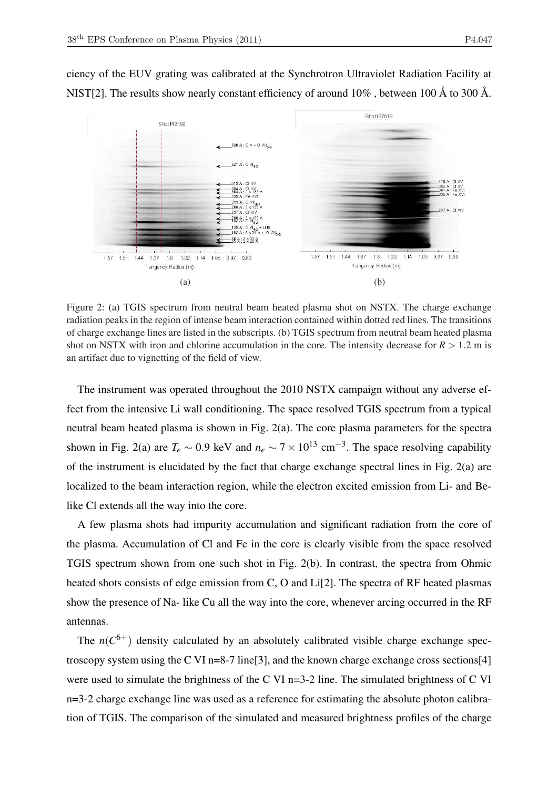ciency of the EUV grating was calibrated at the Synchrotron Ultraviolet Radiation Facility at NIST[2]. The results show nearly constant efficiency of around 10% , between 100 Å to 300 Å.



Figure 2: (a) TGIS spectrum from neutral beam heated plasma shot on NSTX. The charge exchange radiation peaks in the region of intense beam interaction contained within dotted red lines. The transitions of charge exchange lines are listed in the subscripts. (b) TGIS spectrum from neutral beam heated plasma shot on NSTX with iron and chlorine accumulation in the core. The intensity decrease for  $R > 1.2$  m is an artifact due to vignetting of the field of view.

The instrument was operated throughout the 2010 NSTX campaign without any adverse effect from the intensive Li wall conditioning. The space resolved TGIS spectrum from a typical neutral beam heated plasma is shown in Fig. 2(a). The core plasma parameters for the spectra shown in Fig. 2(a) are  $T_e \sim 0.9$  keV and  $n_e \sim 7 \times 10^{13}$  cm<sup>-3</sup>. The space resolving capability of the instrument is elucidated by the fact that charge exchange spectral lines in Fig. 2(a) are localized to the beam interaction region, while the electron excited emission from Li- and Belike Cl extends all the way into the core.

A few plasma shots had impurity accumulation and significant radiation from the core of the plasma. Accumulation of Cl and Fe in the core is clearly visible from the space resolved TGIS spectrum shown from one such shot in Fig. 2(b). In contrast, the spectra from Ohmic heated shots consists of edge emission from C, O and Li<sup>[2]</sup>. The spectra of RF heated plasmas show the presence of Na- like Cu all the way into the core, whenever arcing occurred in the RF antennas.

The  $n(C^{6+})$  density calculated by an absolutely calibrated visible charge exchange spectroscopy system using the C VI n=8-7 line[3], and the known charge exchange cross sections[4] were used to simulate the brightness of the C VI n=3-2 line. The simulated brightness of C VI n=3-2 charge exchange line was used as a reference for estimating the absolute photon calibration of TGIS. The comparison of the simulated and measured brightness profiles of the charge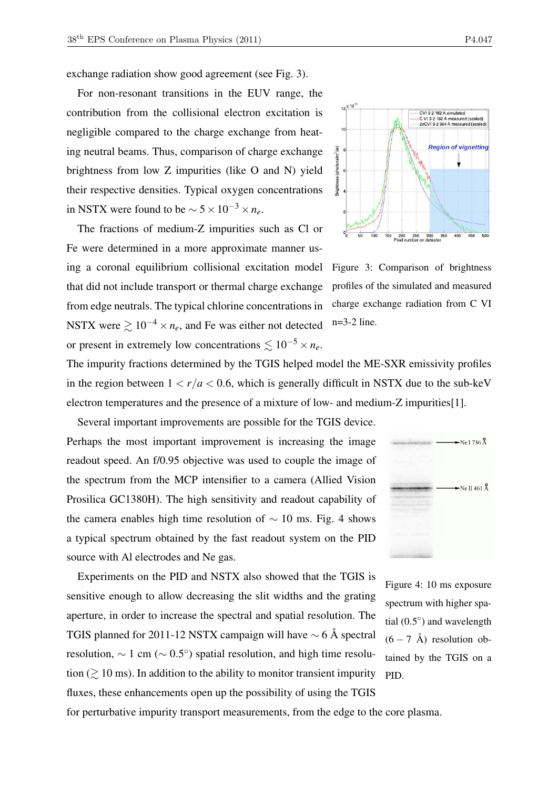exchange radiation show good agreement (see Fig. 3).

For non-resonant transitions in the EUV range, the contribution from the collisional electron excitation is negligible compared to the charge exchange from heating neutral beams. Thus, comparison of charge exchange brightness from low Z impurities (like O and N) yield their respective densities. Typical oxygen concentrations in NSTX were found to be  $\sim 5 \times 10^{-3} \times n_e$ .

The fractions of medium-Z impurities such as Cl or Fe were determined in a more approximate manner using a coronal equilibrium collisional excitation model that did not include transport or thermal charge exchange from edge neutrals. The typical chlorine concentrations in NSTX were  $\gtrsim 10^{-4} \times n_e$ , and Fe was either not detected or present in extremely low concentrations  $\leq 10^{-5} \times n_e$ .



Figure 3: Comparison of brightness profiles of the simulated and measured charge exchange radiation from C VI n=3-2 line.

The impurity fractions determined by the TGIS helped model the ME-SXR emissivity profiles in the region between  $1 < r/a < 0.6$ , which is generally difficult in NSTX due to the sub-keV electron temperatures and the presence of a mixture of low- and medium-Z impurities[1].

Several important improvements are possible for the TGIS device. Perhaps the most important improvement is increasing the image readout speed. An f/0.95 objective was used to couple the image of the spectrum from the MCP intensifier to a camera (Allied Vision Prosilica GC1380H). The high sensitivity and readout capability of the camera enables high time resolution of  $\sim$  10 ms. Fig. 4 shows a typical spectrum obtained by the fast readout system on the PID source with Al electrodes and Ne gas.

Experiments on the PID and NSTX also showed that the TGIS is sensitive enough to allow decreasing the slit widths and the grating aperture, in order to increase the spectral and spatial resolution. The TGIS planned for 2011-12 NSTX campaign will have  $\sim$  6 Å spectral resolution,  $\sim 1$  cm ( $\sim 0.5^{\circ}$ ) spatial resolution, and high time resolution  $\approx$  10 ms). In addition to the ability to monitor transient impurity fluxes, these enhancements open up the possibility of using the TGIS



Figure 4: 10 ms exposure spectrum with higher spatial  $(0.5^{\circ})$  and wavelength  $(6 - 7 \text{ Å})$  resolution obtained by the TGIS on a PID.

for perturbative impurity transport measurements, from the edge to the core plasma.